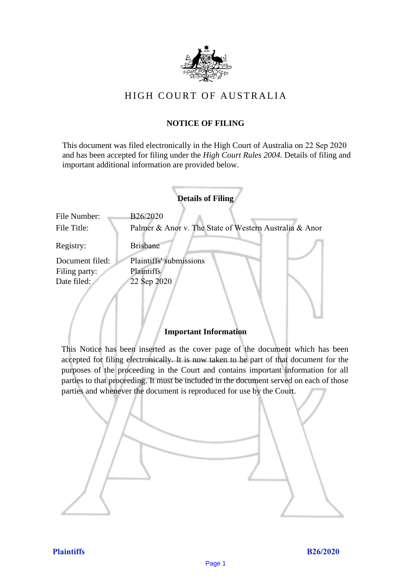

# HIGH COURT OF AU STRALIA HIGH COURT OF AUSTRALIA

# **NOTICE OF FILING** NOTICE OF FILING

This document was filed electronically in the High Court of Australia on 22 Sep 2020 This document was filed electronically in the High Court of Australia 0 and has been accepted for filing under the *High Court Rules 2004*. Details of filing and important additional information are provided below. important additional information are provided below.

|                             | <b>Details of Filing</b>                                           |
|-----------------------------|--------------------------------------------------------------------|
| File Number:<br>File Title: | B26/2020<br>Palmer & Anor v. The State of Western Australia & Anor |
| Registry:                   | <b>Brisbane</b>                                                    |
| Document filed:             | Plaintiffs' submissions                                            |
| Filing party:               | <b>Plaintiffs</b>                                                  |
| Date filed:                 | 22 Sep 2020                                                        |
|                             |                                                                    |

### **Important Information** Important Information

This Notice has been inserted as the cover page of the document which has been accepted for filing electronically. It is now taken to be part of that document for the purposes of the proceeding in the Court and contains important information for all parties to that proceeding. It must be included in the document served on each of those parties and whenever the document is reproduced for use by the Court. parties and whenever the document is reproduced for use by the Court

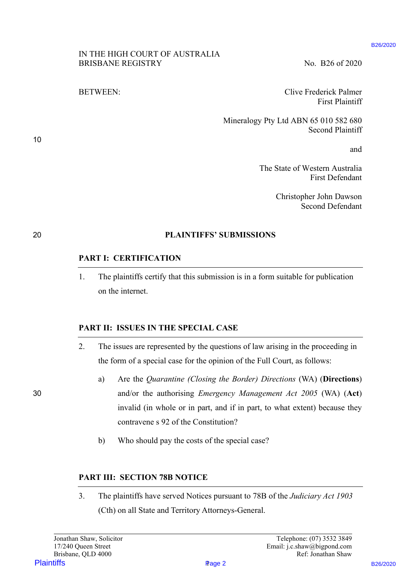#### B26/2020

# IN THE HIGH COURT OF AUSTRALIA IN THE HIGH COURT OF AUSTRALIA BRISBANE REGISTRY No. B26 of 2020

BETWEEN: Clive Frederick Palmer BETWEEN: Clive Frederick Palmer First Plaintiff First Plaintiff

> Mineralogy Pty Ltd ABN 65 010 582 680 Mineralogy Pty Ltd ABN 65 010 582 680 Second Plaintiff Second Plaintiff

> > and and

The State of Western Australia The State of Western Australia First Defendant First Defendant

> Christopher John Dawson Christopher John Dawson Second Defendant Second Defendant

# 20 **PLAINTIFFS' SUBMISSIONS** 20 PLAINTIFFS' SUBMISSIONS

# **PART I: CERTIFICATION** PART I: CERTIFICATION

1. The plaintiffs certify that this submission is in a form suitable for publication 1. The plaintiffs certify that this submission is in <sup>a</sup> form suitable for publicationon the internet. on the internet.

# **PART II: ISSUES IN THE SPECIAL CASE** PART II: ISSUES IN THE SPECIAL CASE

- 2. The issues are represented by the questions of law arising in the proceeding in 2. The issues are represented by the questions of law arising in the proceeding inthe form of a special case for the opinion of the Full Court, as follows: the form of <sup>a</sup> special case for the opinion of the Full Court, as follows:
- a) Are the *Quarantine (Closing the Border) Directions* (WA) (**Directions**) a) Are the Quarantine (Closing the Border) Directions (WA) (Directions) 30 and/or the authorising *Emergency Management Act 2005* (WA) (**Act**) 30 and/or the authorising Emergency Management Act 2005 (WA) (Act) invalid (in whole or in part, and if in part, to what extent) because they invalid (in whole or in part, and if in part, to what extent) because theycontravene s 92 of the Constitution? contravene <sup>s</sup> 92 of the Constitution? **PLAINTERS EDENTIFICATE (EXECUTE AND ACCOUNT ACCOUNT ACCOUNT AND SERVER ENTIRE BETWEEN:**<br> **PRINCIPS BY A SUBARUM CONTEX CONTRACT ACCOUNT ACCOUNT**<br> **PRINCIPS BY A SUBARUM CONTRACT SUBARUM CONTRACT ACCOUNT AND A SUBARUM CON** 
	- b) Who should pay the costs of the special case? b) | Who should pay the costs of the special case?

### **PART III: SECTION 78B NOTICE** PART UI: SECTION 78B NOTICE

3. The plaintiffs have served Notices pursuant to 78B of the *Judiciary Act 1903* 3. The plaintiffs have served Notices pursuant to 78B of the Judiciary Act 1903 (Cth) on all State and Territory Attorneys-General. (Cth) on all State and Territory Attorneys-General.

Page 2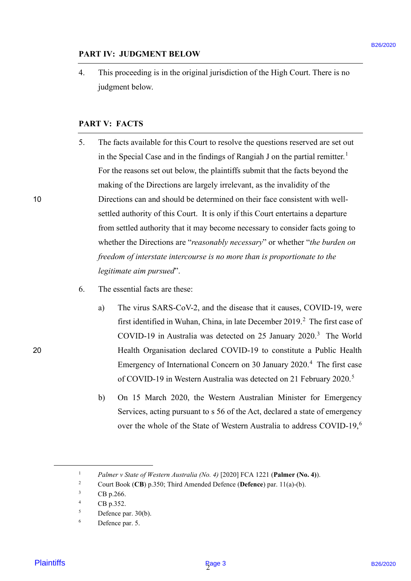# **PART IV: JUDGMENT BELOW** PART IV: JUDGMENT BELOW

4. This proceeding is in the original jurisdiction of the High Court. There is no judgment below. judgment below.

# **PART V: FACTS** PART V: FACTS

- 5. The facts available for this Court to resolve the questions reserved are set out The facts available for this Court to resolve the questions reserved are set out in the Special Case and in the findings of Rangiah J on the partial remitter.<sup>1</sup> For the reasons set out below, the plaintiffs submit that the facts beyond the For the reasons set out below, the plaintiffs submit that the facts beyond the making of the Directions are largely irrelevant, as the invalidity of the making of the Directions are largely irrelevant, as the invalidity of the 10 Directions can and should be determined on their face consistent with well-Directions can and should be determined on their face consistent with wellsettled authority of this Court. It is only if this Court entertains a departure settled authority of this Court. It is only if this Court entertains <sup>a</sup> departure from settled authority that it may become necessary to consider facts going to from settled authority that it may become necessary to consider facts going to whether the Directions are "*reasonably necessary*" or whether "*the burden on freedom of interstate intercourse is no more than is proportionate to the*  freedom of interstate intercourse is no more than is proportionate to the *legitimate aim pursued*". legitimate aim pursued'. **PARTIY: JUDGMENT BELOW**<br> **EXERC**<br> **EXERC**<br> **EXERC**<br> **EXERC**<br> **EXERC**<br> **EXERC**<br> **EXERC**<br> **EXERC**<br> **EXERC**<br> **EXERC**<br> **EXERC**<br> **EXERC**<br> **EXERC**<br> **EXERC**<br> **EXERC**<br> **EXERC**<br> **EXERC**<br> **EXERC**<br> **EXERC**<br> **EXERC**<br> **EXERC**<br> **EXERC** 5.
	- 6. The essential facts are these: The essential facts are these:6.
- a) The virus SARS-CoV-2, and the disease that it causes, COVID-19, were first identified in Wuhan, China, in late December 2019.<sup>2</sup> The first case of COVID-19 in Australia was detected on 25 January 2020.<sup>3</sup> The World 20 Health Organisation declared COVID-19 to constitute a Public Health Health Organisation declared COVID-19 to constitute <sup>a</sup> Public Health Emergency of International Concern on 30 January 2020.<sup>4</sup> The first case Emergency of International Concern on 30 January 2020.4 The first case of COVID-19 in Western Australia was detected on 21 February 2020.<sup>5</sup>
	- b) On 15 March 2020, the Western Australian Minister for Emergency b) On 15 March 2020, the Western Australian Minister for Emergency Services, acting pursuant to s 56 of the Act, declared a state of emergency Services, acting pursuant to <sup>s</sup> 56 of the Act, declared <sup>a</sup> state of emergency over the whole of the State of Western Australia to address COVID-19,<sup>6</sup>

<sup>&</sup>lt;sup>1</sup> *Palmer v State of Western Australia (No. 4)* [2020] FCA 1221 (Palmer (No. 4)).  $\begin{bmatrix} 1 & 2 \\ 2 & 3 \\ 4 & 5 \\ 6 & 1 \end{bmatrix}$ 

<sup>2</sup> Court Book (**CB**) p.350; Third Amended Defence (**Defence**) par. 11(a)-(b). Court Book (CB) p.350; Third Amended Defence (Defence) par. 11(a)-(b).

 $^{3}$  CB p.266.

<sup>4</sup> CB p.352. CB p.352.

<sup>5</sup> Defence par. 30(b). Defence par. 30(b).

<sup>6</sup> Defence par. 5. Defence par. 5.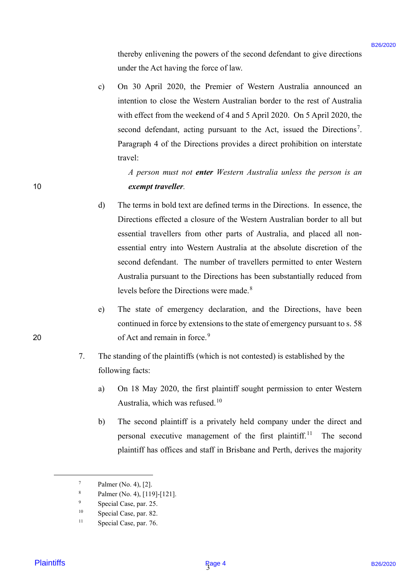thereby enlivening the powers of the second defendant to give directions thereby enlivening the powers of the second defendant to give directions under the Act having the force of law. under the Act having the force of law.

c) On 30 April 2020, the Premier of Western Australia announced an On 30 April 2020, the Premier of Western Australia announced an intention to close the Western Australian border to the rest of Australia intention to close the Western Australian border to the rest of Australia with effect from the weekend of 4 and 5 April 2020. On 5 April 2020, the with effect from the weekend of 4 and <sup>5</sup> April 2020. On <sup>5</sup> April 2020, the second defendant, acting pursuant to the Act, issued the Directions<sup>7</sup>. Paragraph 4 of the Directions provides a direct prohibition on interstate Paragraph 4 of the Directions provides a direct prohibition on interstate travel: travel:

*A person must not enter Western Australia unless the person is an*  <sup>A</sup> person must not enter Western Australia unless the person is an 10 *exempt traveller.* exempt traveller.

- d) The terms in bold text are defined terms in the Directions. In essence, the The terms in bold text are defined terms in the Directions. In essence, the Directions effected a closure of the Western Australian border to all but Directions effected <sup>a</sup> closure of the Western Australian border to all but essential travellers from other parts of Australia, and placed all non-essential travellers from other parts of Australia, and placed all nonessential entry into Western Australia at the absolute discretion of the essential entry into Western Australia at the absolute discretion of the second defendant. The number of travellers permitted to enter Western second defendant. The number of travellers permitted to enter Western Australia pursuant to the Directions has been substantially reduced from Australia pursuant to the Directions has been substantially reduced from levels before the Directions were made.<sup>8</sup> Blockly collivoxing the powers of the second deforatant to give directions<br>
and the best has the powers of the second deforation to pive directions<br>
(c) OR 30 April 2020, the Premier of Western Anstralia numerics and<br>
int d)
- e) The state of emergency declaration, and the Directions, have been The state of emergency declaration, and the Directions, have been continued in force by extensions to the state of emergency pursuant to s. 58 continued in force by extensions to the state of emergency pursuant to s. 58 20 of Act and remain in force.<sup>9</sup>
	- 7. The standing of the plaintiffs (which is not contested) is established by the The standing of the plaintiffs (which is not contested) is established by the following facts: following facts:
		- a) On 18 May 2020, the first plaintiff sought permission to enter Western On <sup>18</sup> May 2020, the first plaintiff sought permission to enter Western Australia, which was refused.<sup>10</sup> a)
		- b) The second plaintiff is a privately held company under the direct and The second plaintiff is <sup>a</sup> privately held company under the direct and personal executive management of the first plaintiff.<sup>11</sup> The second plaintiff has offices and staff in Brisbane and Perth, derives the majority plaintiff has offices and staff in Brisbane and Perth, derives the majority b)

10

 $7 \qquad$  Palmer (No. 4), [2].

<sup>8</sup> Palmer (No. 4), [119]-[121]. Palmer (No. 4), [119]-[121].

<sup>9</sup> Special Case, par. 25. Special Case, par. 25.

<sup>10</sup> Special Case, par. 82. Special Case, par. 82.

<sup>11</sup> Special Case, par. 76. Special Case, par. 76.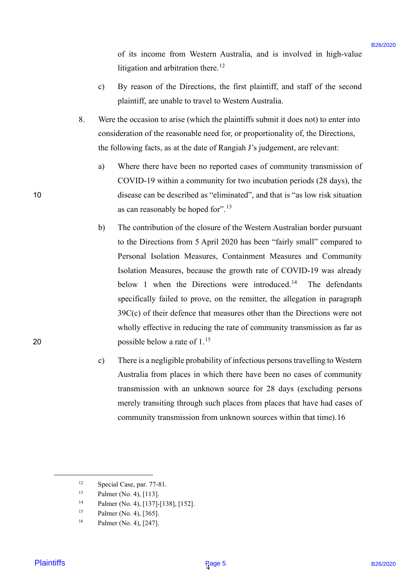of its income from Western Australia, and is involved in high-value of its income from Western Australia, and is involved in high-value litigation and arbitration there.<sup>12</sup>

- c) By reason of the Directions, the first plaintiff, and staff of the second c) By reason of the Directions, the first plaintiff, and staff of the second plaintiff, are unable to travel to Western Australia. plaintiff, are unable to travel to Western Australia.
- 8. Were the occasion to arise (which the plaintiffs submit it does not) to enter into Were the occasion to arise (which the plaintiffs submit it does not) to enter into consideration of the reasonable need for, or proportionality of, the Directions, consideration of the reasonable need for, or proportionality of, the Directions, the following facts, as at the date of Rangiah J's judgement, are relevant: the following facts, as at the date of Rangiah J's judgement, are relevant:
- a) Where there have been no reported cases of community transmission of COVID-19 within a community for two incubation periods (28 days), the COVID-19 within <sup>a</sup> community for two incubation periods (28 days), the 10 disease can be described as "eliminated", and that is "as low risk situation disease can be described as "eliminated", and that is "'as low risk situation as can reasonably be hoped for".<sup>13</sup>
- b) The contribution of the closure of the Western Australian border pursuant b) The contribution of the closure of the Western Australian border pursuant to the Directions from 5 April 2020 has been "fairly small" compared to Personal Isolation Measures, Containment Measures and Community Personal Isolation Measures, Containment Measures and Community Isolation Measures, because the growth rate of COVID-19 was already Isolation Measures, because the growth rate of COVID-19 was already below 1 when the Directions were introduced.<sup>14</sup> The defendants specifically failed to prove, on the remitter, the allegation in paragraph specifically failed to prove, on the remitter, the allegation in paragraph 39C(c) of their defence that measures other than the Directions were not 39C(c) of their defence that measures other than the Directions were not wholly effective in reducing the rate of community transmission as far as wholly effective in reducing the rate of community transmission as far as 20 possible below a rate of  $1.^{15}$ of its income from Westcan Australia, and is involved in high-value<br>
1920 By presson of the Directions, the first plaintiff, and staff of the second<br>
(a) By presson of the Directions, the first plaintiff, and staff of the
	- c) There is a negligible probability of infectious persons travelling to Western Australia from places in which there have been no cases of community Australia from places in which there have been no cases of community transmission with an unknown source for 28 days (excluding persons transmission with an unknown source for 28 days (excluding persons merely transiting through such places from places that have had cases of merely transiting through such places from places that have had cases of community transmission from unknown sources within that time).16 community transmission from unknown sources within that time). 16

<sup>12</sup> Special Case, par. 77-81. Special Case, par. 77-81.

<sup>13</sup> Palmer (No. 4), [113]. Palmer (No. 4), [113].

<sup>14</sup> Palmer (No. 4), [137]-[138], [152]. Palmer (No. 4), [137]-[138], [152].

<sup>15</sup> Palmer (No. 4), [365]. Palmer (No. 4), [365].

<sup>16</sup> Palmer (No. 4), [247]. Palmer (No. 4), [247].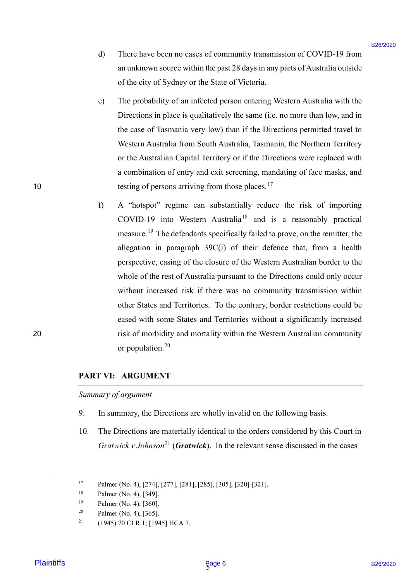- d) There have been no cases of community transmission of COVID-19 from d) There have been no cases of community transmission of COVID-19 from an unknown source within the past 28 days in any parts of Australia outside an unknown source within the past 28 days in any parts ofAustralia outside of the city of Sydney or the State of Victoria. of the city of Sydney or the State of Victoria.
- e) The probability of an infected person entering Western Australia with the The probability of an infected person entering Western Australia with the Directions in place is qualitatively the same (i.e. no more than low, and in Directions in place is qualitatively the same (i.e. no more than low, and in the case of Tasmania very low) than if the Directions permitted travel to Western Australia from South Australia, Tasmania, the Northern Territory Western Australia from South Australia, Tasmania, the Northern Territory or the Australian Capital Territory or if the Directions were replaced with a combination of entry and exit screening, mandating of face masks, and <sup>a</sup> combination of entry and exit screening, mandating of face masks, and 10 testing of persons arriving from those places.<sup>17</sup>
- f) A "hotspot" regime can substantially reduce the risk of importing A "hotspot" regime can substantially reduce the risk of importing COVID-19 into Western Australia<sup>18</sup> and is a reasonably practical measure.<sup>19</sup> The defendants specifically failed to prove, on the remitter, the allegation in paragraph 39C(i) of their defence that, from a health allegation in paragraph 39C(i) of their defence that, from <sup>a</sup> health perspective, easing of the closure of the Western Australian border to the perspective, easing of the closure of the Western Australian border to the whole of the rest of Australia pursuant to the Directions could only occur whole of the rest of Australia pursuant to the Directions could only occur without increased risk if there was no community transmission within other States and Territories. To the contrary, border restrictions could be other States and Territories. To the contrary, border restrictions could be eased with some States and Territories without a significantly increased eased with some States and Territories without a significantly increased 20 risk of morbidity and mortality within the Western Australian community risk of morbidity and mortality within the Western Australian community or population.<sup>20</sup> d) There have been no ones of community transmission of COVID-19 from<br>numberon worser within the pack 32 fluxy-in my parts of Auction<br>in ones of the city of Sydingy or the State of Nusban.<br>
c) The probability of an infect

### **PART VI: ARGUMENT** PART VI: ARGUMENT

Summary of argument

- 9. In summary, the Directions are wholly invalid on the following basis. In summary, the Directions are wholly invalid on the following basis.9.
- 10. The Directions are materially identical to the orders considered by this Court in *Gratwick v Johnson*<sup>21</sup> (*Gratwick*). In the relevant sense discussed in the cases 10.

10

<sup>17</sup> Palmer (No. 4), [274], [277], [281], [285], [305], [320]-[321]. Palmer (No. 4), [274], [277], [281], [285], [305], [320]-[321].

<sup>18</sup> Palmer (No. 4), [349]. Palmer (No. 4), [349].

<sup>19</sup> Palmer (No. 4), [360]. Palmer (No. 4), [360].

<sup>&</sup>lt;sup>20</sup> Palmer (No. 4), [365].

<sup>&</sup>lt;sup>21</sup> (1945) 70 CLR 1; [1945] HCA 7.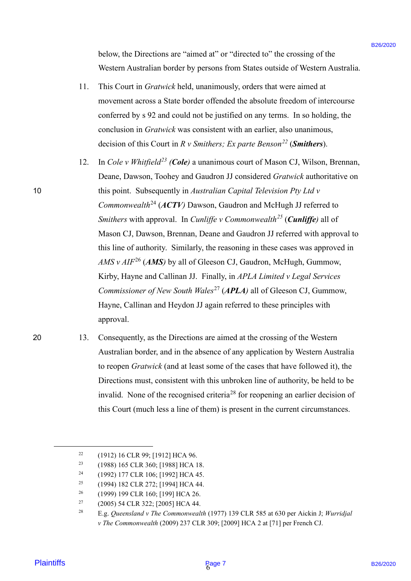below, the Directions are "aimed at" or "directed to" the crossing of the below, the Directions are "aimed at" or "directed to" the crossing of the Western Australian border by persons from States outside of Western Australia. Western Australian border by persons from States outside of Western Australia.

- 11. This Court in *Gratwick* held, unanimously, orders that were aimed at This Court in Gratwick held, unanimously, orders that were aimed atmovement across a State border offended the absolute freedom of intercourse movement across a State border offended the absolute freedom of intercourse conferred by s 92 and could not be justified on any terms. In so holding, the conferred by <sup>s</sup> 92 and could not bejustified on any terms. In so holding, the conclusion in *Gratwick* was consistent with an earlier, also unanimous, conclusion in Gratwick was consistent with an earlier, also unanimous, decision of this Court in *R v Smithers; Ex parte Benson<sup>22</sup>* (*Smithers*). 11.
- 12. In *Cole v Whitfield<sup>23</sup> (Cole)* a unanimous court of Mason CJ, Wilson, Brennan, Deane, Dawson, Toohey and Gaudron JJ considered *Gratwick* authoritative on Deane, Dawson, Toohey and Gaudron JJ considered Gratwick authoritative on 10 this point. Subsequently in *Australian Capital Television Pty Ltd v*  this point. Subsequently in Australian Capital Television Pty Ltd v Commonwealth<sup>24</sup> (ACTV) Dawson, Gaudron and McHugh JJ referred to *Smithers* with approval. In *Cunliffe v Commonwealth*<sup>25</sup> (*Cunliffe*) all of Mason CJ, Dawson, Brennan, Deane and Gaudron JJ referred with approval to Mason CJ, Dawson, Brennan, Deane and Gaudron JJ referred with approval to this line of authority. Similarly, the reasoning in these cases was approved in this line of authority. Similarly, the reasoning in these cases was approved in  $AMS v AIF<sup>26</sup> (AMS)$  by all of Gleeson CJ, Gaudron, McHugh, Gummow, Kirby, Hayne and Callinan JJ. Finally, in *APLA Limited v Legal Services*  Kirby, Hayne and Callinan JJ. Finally, in APLA Limited v Legal Services *Commissioner of New South Wales<sup>27</sup> (APLA)* all of Gleeson CJ, Gummow, Hayne, Callinan and Heydon JJ again referred to these principles with Hayne, Callinan and Heydon JJ again referred to these principles with approval. approval. below. the Directions are "sinced at" or "directed to" the crossing of the Western Antennal Antennal Antennal Antennal Antennal Antennal Antennal Antennal Antennal Antennal Antennal Antennal Antennal Antennal Antennal Ant 12.
- 20

10

20 13. Consequently, as the Directions are aimed at the crossing of the Western Consequently, as the Directions are aimed at the crossing of the Western Australian border, and in the absence of any application by Western Australia Australian border, and in the absence of any application by Western Australiato reopen *Gratwick* (and at least some of the cases that have followed it), the to reopen Gratwick (and at least some of the cases that have followed it), the Directions must, consistent with this unbroken line of authority, be held to be Directions must, consistent with this unbroken line of authority, be held to be invalid. None of the recognised criteria<sup>28</sup> for reopening an earlier decision of this Court (much less a line of them) is present in the current circumstances. this Court (much less <sup>a</sup> line of them) is present in the current circumstances. 13.

<sup>&</sup>lt;sup>22</sup> (1912) 16 CLR 99; [1912] HCA 96. 22

<sup>&</sup>lt;sup>23</sup> (1988) 165 CLR 360; [1988] HCA 18. 23

<sup>24</sup> (1992) 177 CLR 106; [1992] HCA 45. (1992) 177 CLR 106; [1992] HCA 45.24

<sup>25</sup> (1994) 182 CLR 272; [1994] HCA 44. (1994) 182 CLR 272; [1994] HCA 44.25

<sup>26</sup> (1999) 199 CLR 160; [199] HCA 26. (1999) 199 CLR 160; [199] HCA 26. 26

<sup>27</sup> (2005) 54 CLR 322; [2005] HCA 44. 27

<sup>&</sup>lt;sup>27</sup> (2005) 54 CLR 322; [2005] HCA 44.<br><sup>28</sup> E.g. *Queensland v The Commonwealth* (1977) 139 CLR 585 at 630 per Aickin J; *Wurridjal v The Commonwealth* (2009) 237 CLR 309; [2009] HCA 2 at [71] per French CJ. v The Commonwealth (2009) 237 CLR 309; [2009] HCA 2 at [71] per French CJ. 28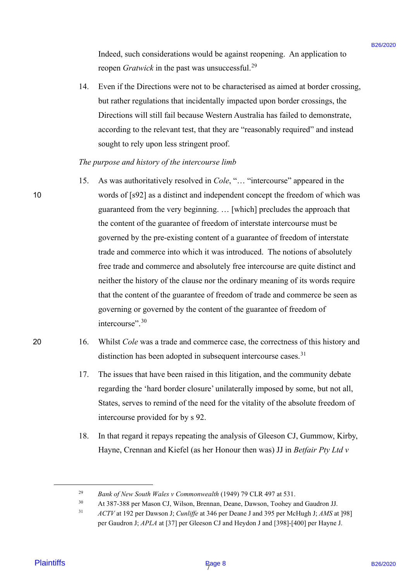Indeed, such considerations would be against reopening. An application to Indeed, such considerations would be against reopening. An application to reopen *Gratwick* in the past was unsuccessful.<sup>29</sup>

14. Even if the Directions were not to be characterised as aimed at border crossing, but rather regulations that incidentally impacted upon border crossings, the but rather regulations that incidentally impacted upon border crossings, the Directions will still fail because Western Australia has failed to demonstrate, Directions will still fail because Western Australia has failed to demonstrate, according to the relevant test, that they are "reasonably required" and instead according to the relevant test, that they are "reasonably required" and instead sought to rely upon less stringent proof. sought to rely upon less stringent proof. 14.

## *The purpose and history of the intercourse limb* The purpose and history of the intercourse limb

- 15. As was authoritatively resolved in *Cole*, "… "intercourse" appeared in the As was authoritatively resolved in Cole, "... "intercourse" appeared in the 10 words of [s92] as a distinct and independent concept the freedom of which was words of [s92] as <sup>a</sup> distinct and independent concept the freedom of which was guaranteed from the very beginning. … [which] precludes the approach that guaranteed from the very beginning. ... [which] precludes the approach that the content of the guarantee of freedom of interstate intercourse must be the content of the guarantee of freedom of interstate intercourse must be governed by the pre-existing content of a guarantee of freedom of interstate governed by the pre-existing content of a guarantee of freedom of interstate trade and commerce into which it was introduced. The notions of absolutely trade and commerce into which it was introduced. The notions of absolutely free trade and commerce and absolutely free intercourse are quite distinct and free trade and commerce and absolutely free intercourse are quite distinct and neither the history of the clause nor the ordinary meaning of its words require neither the history of the clause nor the ordinary meaning of its words require that the content of the guarantee of freedom of trade and commerce be seen as that the content of the guarantee of freedom of trade and commerce be seen as governing or governed by the content of the guarantee of freedom of governing or governed by the content of the guarantee of freedom of intercourse".<sup>30</sup> Indeed, such considerations would be against responsing. An application to<br>
respect form delivered in the plasmon summers and  $A^2$ <br>  $\approx$  Place in the Directions were not to the described on sinced at sinced at since the 15.
- 20 16. Whilst *Cole* was a trade and commerce case, the correctness of this history and distinction has been adopted in subsequent intercourse cases.<sup>31</sup> 16.
	- 17. The issues that have been raised in this litigation, and the community debate The issues that have been raised in this litigation, and the community debate regarding the 'hard border closure' unilaterally imposed by some, but not all, regarding the 'hard border closure' unilaterally imposed by some, but not all, States, serves to remind of the need for the vitality of the absolute freedom of States, serves to remind of the need for the vitality of the absolute freedom ofintercourse provided for by s 92. intercourse provided for by <sup>s</sup> 92. 17.
	- 18. In that regard it repays repeating the analysis of Gleeson CJ, Gummow, Kirby, In that regard it repays repeating the analysis of Gleeson CJ, Gummow, Kirby, Hayne, Crennan and Kiefel (as her Honour then was) JJ in *Betfair Pty Ltd v*  Hayne, Crennan and Kiefel (as her Honour then was) JJ in Betfair Pty Ltd v18.

<sup>&</sup>lt;sup>29</sup> Bank of New South Wales v Commonwealth (1949) 79 CLR 497 at 531. 29

<sup>30</sup> At 387-388 per Mason CJ, Wilson, Brennan, Deane, Dawson, Toohey and Gaudron JJ. At 387-388 per Mason CJ, Wilson, Brennan, Deane, Dawson, Toohey and Gaudron JJ. 30

<sup>&</sup>lt;sup>31</sup> *ACTV* at 192 per Dawson J; *Cunliffe* at 346 per Deane J and 395 per McHugh J; *AMS* at [98] per Gaudron J; *APLA* at [37] per Gleeson CJ and Heydon J and [398]-[400] per Hayne J. per Gaudron J; APLA at [37] per Gleeson CJ and Heydon J and [398]-[400] per Hayne J. 31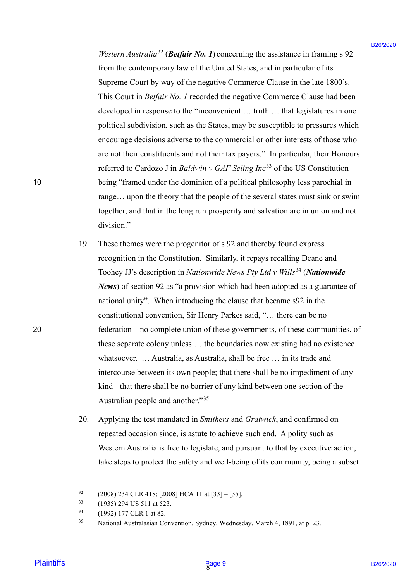*Western Australia*<sup>32</sup> (*Betfair No. 1*) concerning the assistance in framing s 92 from the contemporary law of the United States, and in particular of its from the contemporary law of the United States, and in particular of its Supreme Court by way of the negative Commerce Clause in the late 1800's. This Court in *Betfair No. 1* recorded the negative Commerce Clause had been This Court in Betfair No. <sup>1</sup> recorded the negative Commerce Clause had been developed in response to the "inconvenient … truth … that legislatures in one developed in response to the "inconvenient ... truth ... that legislatures in one political subdivision, such as the States, may be susceptible to pressures which political subdivision, such as the States, may be susceptible to pressures which encourage decisions adverse to the commercial or other interests of those who encourage decisions adverse to the commercial or other interests of those who are not their constituents and not their tax payers." In particular, their Honours are not their constituents and not their tax payers." In particular, their Honours referred to Cardozo J in *Baldwin v GAF Seling Inc*<sup>33</sup> of the US Constitution 10 being "framed under the dominion of a political philosophy less parochial in being "framed under the dominion of a political philosophy less parochial in range... upon the theory that the people of the several states must sink or swim together, and that in the long run prosperity and salvation are in union and not together, and that in the long run prosperity and salvation are in union and not division." division."

- 19. These themes were the progenitor of s 92 and thereby found express recognition in the Constitution. Similarly, it repays recalling Deane and Toohey JJ's description in *Nationwide News Pty Ltd v Wills*<sup>34</sup> (*Nationwide*  Toohey JJ's description in Nationwide News Pty Ltd v Wills\*\* (Nationwide *News*) of section 92 as "a provision which had been adopted as a guarantee of News) of section 92 as "a provision which had been adopted as <sup>a</sup> guarantee ofnational unity". When introducing the clause that became s92 in the national unity". When introducing the clause that became s92 in the constitutional convention, Sir Henry Parkes said, "… there can be no constitutional convention, Sir Henry Parkes said, "... there can be no 20 federation – no complete union of these governments, of these communities, of federation — no complete union of these governments, of these communities, of these separate colony unless … the boundaries now existing had no existence these separate colony unless ... the boundaries now existing had no existence whatsoever. … Australia, as Australia, shall be free … in its trade and whatsoever. ... Australia, as Australia, shall be free ... in its trade and intercourse between its own people; that there shall be no impediment of any intercourse between its own people; that there shall be no impediment of any kind - that there shall be no barrier of any kind between one section of the kind - that there shall be no barrier of any kind between one section of the Australian people and another."<sup>35</sup> *Hierary, Assoratio<sup>n</sup> (<i>Betfair No. P*) concerning the ansistance in framing  $\approx$  92<br>
From he contemporary law of the limital Nours, and in particular of its page 92<br>
Supporare Court by way of the negative Commerce Cha 19.
	- 20. Applying the test mandated in *Smithers* and *Gratwick*, and confirmed on Applying the test mandated in Smithers and Gratwick, and confirmed on repeated occasion since, is astute to achieve such end. A polity such as repeated occasion since, is astute to achieve such end. A polity such as Western Australia is free to legislate, and pursuant to that by executive action, Western Australia is free to legislate, and pursuant to that by executive action, take steps to protect the safety and well-being of its community, being a subset take steps to protect the safety and well-being of its community, being <sup>a</sup> subset 20.

<sup>32</sup> (2008) 234 CLR 418; [2008] HCA 11 at [33] – [35]*.* (2008) 234 CLR 418; [2008] HCA <sup>11</sup> at [33] — [35]. 32

<sup>33</sup> (1935) 294 US 511 at 523. (1935) 294 US 511 at 523. 33

<sup>34</sup> (1992) 177 CLR 1 at 82. (1992) 177 CLR 1 at 82. 34

<sup>&</sup>lt;sup>35</sup> National Australasian Convention, Sydney, Wednesday, March 4, 1891, at p. 23. 35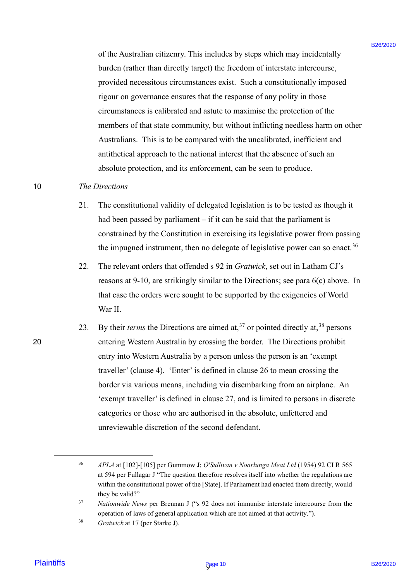of the Australian citizenry. This includes by steps which may incidentally of the Australian citizenry. This includes by steps which may incidentally burden (rather than directly target) the freedom of interstate intercourse, burden (rather than directly target) the freedom of interstate intercourse, provided necessitous circumstances exist. Such a constitutionally imposed provided necessitous circumstances exist. Such a constitutionally imposed rigour on governance ensures that the response of any polity in those rigour on governance ensures that the response of any polity in those circumstances is calibrated and astute to maximise the protection of the circumstances is calibrated and astute to maximise the protection of the members of that state community, but without inflicting needless harm on other members of that state community, but without inflicting needless harm on otherAustralians. This is to be compared with the uncalibrated, inefficient and Australians. This is to be compared with the uncalibrated, inefficient and antithetical approach to the national interest that the absence of such an antithetical approach to the national interest that the absence of such an absolute protection, and its enforcement, can be seen to produce. absolute protection, and its enforcement, can be seen to produce.

#### 10 *The Directions* 10 The Directions

- 21. The constitutional validity of delegated legislation is to be tested as though it 21. The constitutional validity of delegated legislation is to be tested as though it had been passed by parliament - if it can be said that the parliament is constrained by the Constitution in exercising its legislative power from passing constrained by the Constitution in exercising its legislative power from passingthe impugned instrument, then no delegate of legislative power can so enact.<sup>36</sup>
- 22. The relevant orders that offended s 92 in *Gratwick*, set out in Latham CJ's The relevant orders that offended <sup>s</sup> 92 in Gratwick, set out in Latham CJ's reasons at 9-10, are strikingly similar to the Directions; see para 6(c) above. In that case the orders were sought to be supported by the exigencies of World that case the orders were sought to be supported by the exigencies of World War II. War II. 22.
- 23. By their *terms* the Directions are aimed at,<sup>37</sup> or pointed directly at,<sup>38</sup> persons 20 entering Western Australia by crossing the border. The Directions prohibit entering Western Australia by crossing the border. The Directions prohibit entry into Western Australia by a person unless the person is an 'exempt traveller' (clause 4). 'Enter' is defined in clause 26 to mean crossing the traveller' (clause 4). 'Enter' is defined in clause 26 to mean crossing the border via various means, including via disembarking from an airplane. An border via various means, including via disembarking from an airplane. An 'exempt traveller' is defined in clause 27, and is limited to persons in discrete 'exempt traveller' is defined in clause 27, and is limited to persons in discrete categories or those who are authorised in the absolute, unfettered and categories or those who are authorised in the absolute, unfettered and unreviewable discretion of the second defendant. unreviewable discretion of the second defendant.of the Australian eitizeary. This includes by steps which may incidentally<br>burnine (calle that intensity layer) the freedom of vierestance one,<br>player measurements are constrained as the second internal entergodes<br>represe 23.

<sup>36</sup> *APLA* at [102]-[105] per Gummow J; *O'Sullivan v Noarlunga Meat Ltd* (1954) 92 CLR 565 APLA at [102]-[105] per Gummow J; O'Sullivan v Noarlunga Meat Ltd (1954) 92 CLR 565 at 594 per Fullagar J "The question therefore resolves itself into whether the regulations are at 594 per Fullagar <sup>J</sup> "The question therefore resolves itself into whether the regulations are within the constitutional power of the [State]. If Parliament had enacted them directly, would within the constitutional power ofthe [State]. If Parliament had enacted them directly, would they be valid?" they be valid?" 36

<sup>37</sup> *Nationwide News* per Brennan J ("s 92 does not immunise interstate intercourse from the Nationwide News per Brennan <sup>J</sup> ("'s 92 does not immunise interstate intercourse from the operation of laws of general application which are not aimed at that activity."). 37

<sup>38</sup> *Gratwick* at 17 (per Starke J). 38 Gratwick at 17 (per Starke J).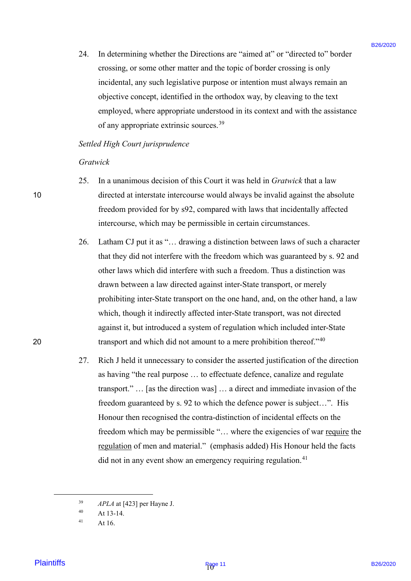24. In determining whether the Directions are "aimed at" or "directed to" border In determining whether the Directions are "aimed at" or "directed to" border crossing, or some other matter and the topic of border crossing is only crossing, or some other matter and the topic of border crossing is only incidental, any such legislative purpose or intention must always remain an incidental, any such legislative purpose or intention must always remain an objective concept, identified in the orthodox way, by cleaving to the text objective concept, identified in the orthodox way, by cleaving to the text employed, where appropriate understood in its context and with the assistance employed, where appropriate understood in its context and with the assistance of any appropriate extrinsic sources.<sup>39</sup> 24.

#### *Settled High Court jurisprudence* Settled High Courtjurisprudence

#### *Gratwick* Gratwick

- 25. In a unanimous decision of this Court it was held in *Gratwick* that a law In <sup>a</sup> unanimous decision of this Court it was held in Gratwick that <sup>a</sup> law 10 directed at interstate intercourse would always be invalid against the absolute directed at interstate intercourse would always be invalid against the absolute freedom provided for by s92, compared with laws that incidentally affected freedom provided for by s92, compared with laws that incidentally affected intercourse, which may be permissible in certain circumstances. intercourse, which may be permissible in certain circumstances. 25.
- 26. Latham CJ put it as "… drawing a distinction between laws of such a character Latham CJ put it as "... drawing <sup>a</sup> distinction between laws of such <sup>a</sup> character that they did not interfere with the freedom which was guaranteed by s. 92 and that they did not interfere with the freedom which was guaranteed by s. 92 andother laws which did interfere with such a freedom. Thus a distinction was drawn between a law directed against inter-State transport, or merely drawn between <sup>a</sup> law directed against inter-State transport, or merely prohibiting inter-State transport on the one hand, and, on the other hand, a law prohibiting inter-State transport on the one hand, and, on the other hand, a law which, though it indirectly affected inter-State transport, was not directed which, though it indirectly affected inter-State transport, was not directed against it, but introduced a system of regulation which included inter-State against it, but introduced a system of regulation which included inter-State 20  $\mu$  transport and which did not amount to a mere prohibition thereof."<sup>40</sup> 26.
- 27. Rich J held it unnecessary to consider the asserted justification of the direction Rich <sup>J</sup> held it unnecessary to consider the asserted justification of the direction as having "the real purpose … to effectuate defence, canalize and regulate as having "the real purpose ... to effectuate defence, canalize and regulate transport." … [as the direction was] … a direct and immediate invasion of the transport." ... [as the direction was] ... <sup>a</sup> direct and immediate invasion of the freedom guaranteed by s. 92 to which the defence power is subject…". His freedom guaranteed by s. 92 to which the defence power is subject...". His Honour then recognised the contra-distinction of incidental effects on the Honour then recognised the contra-distinction of incidental effects on the freedom which may be permissible "... where the exigencies of war require the regulation of men and material." (emphasis added) His Honour held the facts did not in any event show an emergency requiring regulation.<sup>41</sup> 24. In determining whether the Directions are "nimed at" or "directed to" border enougage, or simulation properties and the length of neuro-<br>
incidental, any such legislisticity pappos or interdion must always continue in 27.

<sup>39</sup> *APLA* at [423] per Hayne J. APLA at [423] per Hayne J. 39

 $40$  At 13-14. 40

 $41$  At 16. 41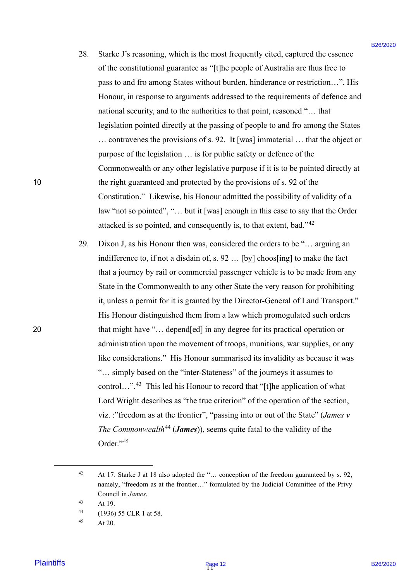- 28. Starke J's reasoning, which is the most frequently cited, captured the essence Starke J's reasoning, which is the most frequently cited, captured the essence of the constitutional guarantee as "[t]he people of Australia are thus free to of the constitutional guarantee as "[t]he people of Australia are thus free to pass to and fro among States without burden, hinderance or restriction…". His pass to and fro among States without burden, hinderance or restriction...". His Honour, in response to arguments addressed to the requirements of defence and Honour, in response to arguments addressed to the requirements of defence and national security, and to the authorities to that point, reasoned "… that national security, and to the authorities to that point, reasoned "... that legislation pointed directly at the passing of people to and fro among the States legislation pointed directly at the passing of people to and fro among the States … contravenes the provisions of s. 92. It [was] immaterial … that the object or ... contravenes the provisions of s. 92. It [was] immaterial ... that the object or purpose of the legislation … is for public safety or defence of the purpose of the legislation ... is for public safety or defence of the Commonwealth or any other legislative purpose if it is to be pointed directly at 10 the right guaranteed and protected by the provisions of s. 92 of the the right guaranteed and protected by the provisions of s. 92 of the Constitution." Likewise, his Honour admitted the possibility of validity of a Constitution." Likewise, his Honour admitted the possibility of validity of a law "not so pointed", "… but it [was] enough in this case to say that the Order law "not so pointed", "... but it [was] enough in this case to say that the Order attacked is so pointed, and consequently is, to that extent, bad."<sup>42</sup> 28.
- 29. Dixon J, as his Honour then was, considered the orders to be "… arguing an Dixon J, as his Honour then was, considered the orders to be "... arguing an indifference to, if not a disdain of, s. 92 … [by] choos[ing] to make the fact indifference to, if not <sup>a</sup> disdain of, s. <sup>92</sup> ... [by] choos[ing] to make the fact that a journey by rail or commercial passenger vehicle is to be made from any that a journey by rail or commercial passenger vehicle is to be made from anyState in the Commonwealth to any other State the very reason for prohibiting State in the Commonwealth to any other State the very reason for prohibiting it, unless a permit for it is granted by the Director-General of Land Transport." it, unless a permit for it is granted by the Director-General of Land Transport." His Honour distinguished them from a law which promogulated such orders His Honour distinguished them from a law which promogulated such orders 20 that might have "… depend[ed] in any degree for its practical operation or that might have "... depend[ed] in any degree for its practical operation or administration upon the movement of troops, munitions, war supplies, or any administration upon the movement of troops, munitions, war supplies, or any like considerations." His Honour summarised its invalidity as because it was like considerations." His Honour summarised its invalidity as because it was "... simply based on the "inter-Stateness" of the journeys it assumes to control...".<sup>43</sup> This led his Honour to record that "[t]he application of what Lord Wright describes as "the true criterion" of the operation of the section, Lord Wright describes as "the true criterion" of the operation of the section, viz. :"freedom as at the frontier", "passing into or out of the State" (*James v The Commonwealth*<sup>44</sup> (*James*)), seems quite fatal to the validity of the Order."<sup>45</sup> 28. Stacks Fa reasoning, which is the most frequently circle, explored the sessons of the most intensity and the most frequently circle, and control and the most page in the most intensity and the most intensity and the m 29.

<sup>&</sup>lt;sup>42</sup> At 17. Starke J at 18 also adopted the "... conception of the freedom guaranteed by s. 92, namely, "freedom as at the frontier…" formulated by the Judicial Committee of the Privy namely, "freedom as at the frontier..." formulated by the Judicial Committee of the Privy Council in *James*. Council in James. 42

 $43$  At 19. 43

<sup>44</sup> (1936) 55 CLR 1 at 58. (1936) 55 CLR 1 at 58. 44

 $45$  At 20. 45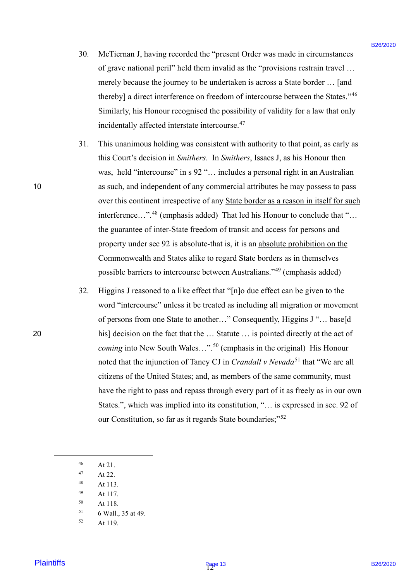- 30. McTiernan J, having recorded the "present Order was made in circumstances McTiernan J, having recorded the "present Order was made in circumstances of grave national peril" held them invalid as the "provisions restrain travel … of grave national peril" held them invalid as the "provisions restrain travel ... merely because the journey to be undertaken is across a State border … [and merely because the journey to be undertaken is across a State border ... [and thereby] a direct interference on freedom of intercourse between the States."<sup>46</sup> Similarly, his Honour recognised the possibility of validity for a law that only Similarly, his Honour recognised the possibility of validity for a law that only incidentally affected interstate intercourse.<sup>47</sup> 30.
- 31. This unanimous holding was consistent with authority to that point, as early as This unanimous holding was consistent with authority to that point, as early as this Court's decision in *Smithers*. In *Smithers*, Issacs J, as his Honour then was, held "intercourse" in s 92 "… includes a personal right in an Australian was, held "intercourse" in <sup>s</sup> 92 "... includes a personal right in an Australian 10 as such, and independent of any commercial attributes he may possess to pass as such, and independent of any commercial attributes he may possess to pass over this continent irrespective of any **State border as a reason in itself for such** interference..."<sup>48</sup> (emphasis added) That led his Honour to conclude that "... the guarantee of inter-State freedom of transit and access for persons and the guarantee of inter-State freedom of transit and access for persons andproperty under sec 92 is absolute-that is, it is an absolute prohibition on the property under sec 92 is absolute-that is, it is an absolute prohibition on the Commonwealth and States alike to regard State borders as in themselves Commonwealth and States alike to regard State borders as in themselves possible barriers to intercourse between Australians."<sup>49</sup> (emphasis added) 31.
- 32. Higgins J reasoned to a like effect that "[n]o due effect can be given to the Higgins <sup>J</sup> reasoned to <sup>a</sup> like effect that "[n]o due effect can be given to the word "intercourse" unless it be treated as including all migration or movement word "intercourse" unless it be treated as including all migration or movement of persons from one State to another..." Consequently, Higgins J "... base[d 20 his] decision on the fact that the … Statute … is pointed directly at the act of his] decision on the fact that the ... Statute ... is pointed directly at the act ofcoming into New South Wales...".<sup>50</sup> (emphasis in the original) His Honour noted that the injunction of Taney CJ in *Crandall v Nevada*<sup>51</sup> that "We are all citizens of the United States; and, as members of the same community, must citizens of the United States; and, as members of the same community, musthave the right to pass and repass through every part of it as freely as in our own have the right to pass and repass through every part of it as freely as in our own States.", which was implied into its constitution, "… is expressed in sec. 92 of States.", which was implied into its constitution, "... is expressed in sec. 92 of our Constitution, so far as it regards State boundaries;"<sup>52</sup> 30. McTicenna J, having a coorded the "present Order was made in eirematances<br>
of graves maternal perti- held there mend tan the "preventure frame" are call:<br>
metricly because the journey to be undertaken is across a Sitr 32.
	- <sup>46</sup> At 21. At 21.46
	- $47$  At 22. 47
	- <sup>48</sup> At 113. At 113. 48
	- <sup>49</sup> At 117. At 117. 49
	- <sup>50</sup> At 118. At 118. 50
	- <sup>51</sup> 6 Wall., 35 at 49. 6 Wall., 35 at 49.Sl
	- <sup>52</sup> At 119. At 119. 52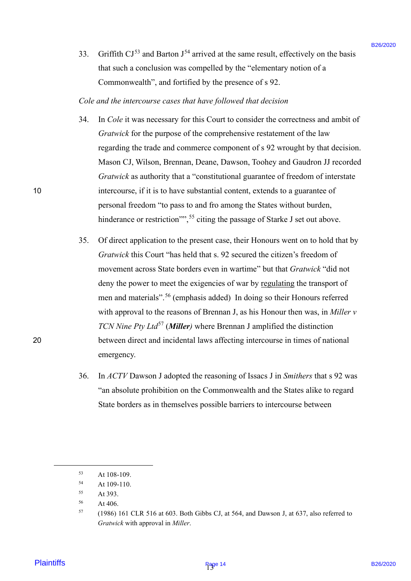33. Griffith  $CI^{53}$  and Barton  $J^{54}$  arrived at the same result, effectively on the basis that such a conclusion was compelled by the "elementary notion of a that such a conclusion was compelled by the "elementary notion of a Commonwealth", and fortified by the presence of s 92. Commonwealth", and fortified by the presence of <sup>s</sup> 92. 33.

*Cole and the intercourse cases that have followed that decision* Cole and the intercourse cases that havefollowed that decision

- 34. In *Cole* it was necessary for this Court to consider the correctness and ambit of In Cole it was necessary for this Court to consider the correctness and ambit of *Gratwick* for the purpose of the comprehensive restatement of the law Gratwick for the purpose of the comprehensive restatement of the law regarding the trade and commerce component of s 92 wrought by that decision. regarding the trade and commerce component of <sup>s</sup> 92 wrought by that decision.Mason CJ, Wilson, Brennan, Deane, Dawson, Toohey and Gaudron JJ recorded Mason CJ, Wilson, Brennan, Deane, Dawson, Toohey and Gaudron JJ recorded *Gratwick* as authority that a "constitutional guarantee of freedom of interstate Gratwick as authority that a "constitutional guarantee of freedom of interstate 10 intercourse, if it is to have substantial content, extends to a guarantee of intercourse, if it is to have substantial content, extends to <sup>a</sup> guarantee ofpersonal freedom "to pass to and fro among the States without burden, personal freedom "to pass to and fro among the States without burden, hinderance or restriction"",<sup>55</sup> citing the passage of Starke J set out above. 34.
- 35. Of direct application to the present case, their Honours went on to hold that by Of direct application to the present case, their Honours went on to hold that by *Gratwick* this Court "has held that s. 92 secured the citizen's freedom of Gratwick this Court "has held that s. 92 secured the citizen's freedom of movement across State borders even in wartime" but that *Gratwick* "did not movement across State borders even in wartime" but that Gratwick "did not deny the power to meet the exigencies of war by regulating the transport of men and materials".<sup>56</sup> (emphasis added) In doing so their Honours referred with approval to the reasons of Brennan J, as his Honour then was, in *Miller v*  with approval to the reasons of Brennan J, as his Honour then was, in Miller v TCN Nine Pty Ltd<sup>57</sup> (Miller) where Brennan J amplified the distinction 20 between direct and incidental laws affecting intercourse in times of national between direct and incidental laws affecting intercourse in times of national emergency. emergency. 33. Grifffah C1<sup>2</sup> and Baston J<sup>14</sup> ancived at the same result, effectively on the basis<br>
That such a consideration was emperted by the "elementary proton of a<br>
The and the incrementation was empered by the "elementary pr 35.
	- 36. In *ACTV* Dawson J adopted the reasoning of Issacs J in *Smithers* that s 92 was In ACTV Dawson <sup>J</sup> adopted the reasoning of Issacs <sup>J</sup> in Smithers that <sup>s</sup> 92 was "an absolute prohibition on the Commonwealth and the States alike to regard "an absolute prohibition on the Commonwealth and the States alike to regard State borders as in themselves possible barriers to intercourse between State borders as in themselves possible barriers to intercourse between 36.

20

<sup>53</sup> At 108-109. At 108-109. 53

<sup>54</sup> At 109-110. At 109-110. 54

<sup>55</sup> At 393. At 393.55

<sup>56</sup> At 406. At 406.56

 $57$  (1986) 161 CLR 516 at 603. Both Gibbs CJ, at 564, and Dawson J, at 637, also referred to *Gratwick* with approval in *Miller*. Gratwick with approval in Miller.57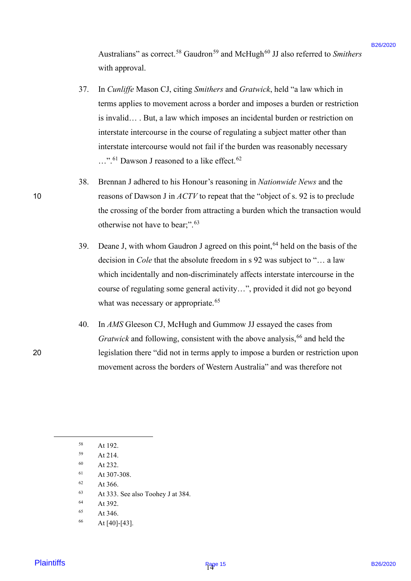Australians" as correct.<sup>58</sup> Gaudron<sup>59</sup> and McHugh<sup>60</sup> JJ also referred to Smithers with approval. with approval.

- 37. In *Cunliffe* Mason CJ, citing *Smithers* and *Gratwick*, held "a law which in In Cunliffe Mason CJ, citing Smithers and Gratwick, held "a law which in terms applies to movement across a border and imposes a burden or restriction terms applies to movement across <sup>a</sup> border and imposes <sup>a</sup> burden or restriction is invalid… . But, a law which imposes an incidental burden or restriction on is invalid... . But, <sup>a</sup> law which imposes an incidental burden or restriction on interstate intercourse in the course of regulating a subject matter other than interstate intercourse in the course of regulating a subject matter other than interstate intercourse would not fail if the burden was reasonably necessary ...".<sup>61</sup> Dawson J reasoned to a like effect.<sup>62</sup> Australians" as convect." Gambion " and MeHigah" JJ also referred to Sandow<br>which approach<br>equilibrium of the control of the control of the control of the state of<br>the state of the control of the control of the control of 37.
- 38. Brennan J adhered to his Honour's reasoning in *Nationwide News* and the Brennan J adhered to his Honour's reasoning in Nationwide News and the 10 reasons of Dawson J in *ACTV* to repeat that the "object of s. 92 is to preclude the crossing of the border from attracting a burden which the transaction would the crossing of the border from attracting <sup>a</sup> burden which the transaction wouldotherwise not have to bear;".<sup>63</sup> 38.
	- 39. Deane J, with whom Gaudron J agreed on this point,  $64$  held on the basis of the decision in *Cole* that the absolute freedom in s 92 was subject to "… a law decision in Cole that the absolute freedom in <sup>s</sup> 92 was subject to "... a law which incidentally and non-discriminately affects interstate intercourse in the which incidentally and non-discriminately affects interstate intercourse in the course of regulating some general activity…", provided it did not go beyond course of regulating some general activity...", provided it did not go beyond what was necessary or appropriate.<sup>65</sup> 39.
- 40. In *AMS* Gleeson CJ, McHugh and Gummow JJ essayed the cases from In AMS Gleeson CJ, McHugh and Gummow JJ essayed the cases from Gratwick and following, consistent with the above analysis, <sup>66</sup> and held the 20 legislation there "did not in terms apply to impose a burden or restriction upon legislation there "did not in terms apply to impose <sup>a</sup> burden or restriction uponmovement across the borders of Western Australia" and was therefore not movement across the borders of Western Australia" and was therefore not 40.
- <sup>58</sup> At 192. At 192. 58
- <sup>59</sup> At 214. At 214.59
- <sup>60</sup> At 232. At 232.60
- <sup>61</sup> At 307-308. At 307-308.61
- <sup>62</sup> At 366. At 366.62
- <sup>63</sup> At 333. See also Toohey J at 384. At 333. See also Toohey <sup>J</sup> at 384. 63
- <sup>64</sup> At 392. At 392.64
- <sup>65</sup> At 346. At 346.65
- <sup>66</sup> At [40]-[43]. At [40]-[43].66

10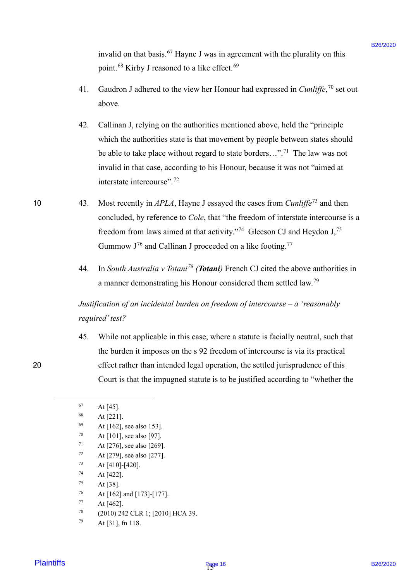invalid on that basis.<sup>67</sup> Hayne J was in agreement with the plurality on this point.<sup>68</sup> Kirby J reasoned to a like effect.<sup>69</sup>

- 41. Gaudron J adhered to the view her Honour had expressed in *Cunliffe*, <sup>70</sup> set out Gaudron J adhered to the view her Honour had expressed in Cunliffe,'° set out above. above. 41.
- 42. Callinan J, relying on the authorities mentioned above, held the "principle Callinan J, relying on the authorities mentioned above, held the "principle which the authorities state is that movement by people between states should which the authorities state is that movement by people between states should be able to take place without regard to state borders...".<sup>71</sup> The law was not invalid in that case, according to his Honour, because it was not "aimed at invalid in that case, according to his Honour, because it was not "aimed at interstate intercourse".<sup>72</sup> iavallel on that basis.<sup>57</sup> Hayan J was in a governeat with the planelity on this<br>
provise.<sup>48</sup> Kiring J reasonnel to a like effect.<sup>49</sup><br>
41. Graduot J adiccord be the view her Homear had expressed in Cardigle,<sup>26</sup> act ou 42.
- 10  $\qquad$  43. Most recently in *APLA*, Hayne J essayed the cases from *Cunliffe*<sup>73</sup> and then concluded, by reference to *Cole*, that "the freedom of interstate intercourse is a concluded, by reference to Cole, that "the freedom of interstate intercourse is afreedom from laws aimed at that activity."<sup>74</sup> Gleeson CJ and Heydon  $J<sub>1</sub>$ <sup>75</sup> Gummow  $J<sup>76</sup>$  and Callinan J proceeded on a like footing.<sup>77</sup> 10 43.
	- 44. In *South Australia v Totani<sup>78</sup> (Totani)* French CJ cited the above authorities in In South Australia v Totani"® (Totani) French CJ cited the above authorities in a manner demonstrating his Honour considered them settled law.<sup>79</sup> 44.

# *Justification of an incidental burden on freedom of intercourse – a 'reasonably*  Justification of an incidental burden onfreedom of intercourse — a 'reasonably *required'test?* required' test?

45. While not applicable in this case, where a statute is facially neutral, such that While not applicable in this case, where a statute is facially neutral, such thatthe burden it imposes on the s 92 freedom of intercourse is via its practical the burden it imposes on the <sup>s</sup> 92 freedom of intercourse is via its practical 20 effect rather than intended legal operation, the settled jurisprudence of this effect rather than intended legal operation, the settled jurisprudence of this Court is that the impugned statute is to be justified according to "whether the Court is that the impugned statute is to be justified according to "whether the 45.

 $75$  At [38]. 75

 $67$  At [45]. 67

<sup>68</sup> At [221]. At [221]. 68

 $^{69}$  At [162], see also 153]. 69

 $^{70}$  At [101], see also [97]. 70

<sup>&</sup>lt;sup>71</sup> At [276], see also [269]. 71

 $72$  At [279], see also [277]. 72

 $^{73}$  At [410]-[420]. 73

 $74$  At [422]. 74

 $^{76}$  At [162] and [173]-[177]. 16

 $77$  At [462]. 71

<sup>78</sup> (2010) 242 CLR 1; [2010] HCA 39. (2010) 242 CLR 1; [2010] HCA 39.78

 $79$  At [31], fn 118. 79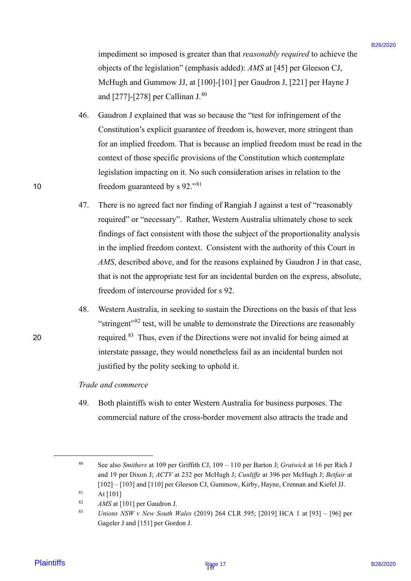impediment so imposed is greater than that *reasonably required* to achieve the impediment so imposed is greater than that reasonably required to achieve the objects of the legislation" (emphasis added): *AMS* at [45] per Gleeson CJ, objects of the legislation" (emphasis added): AMS at [45] per Gleeson CJ, McHugh and Gummow JJ, at [100]-[101] per Gaudron J, [221] per Hayne J McHugh and Gummow JJ, at [100]-[101] per Gaudron J, [221] per Hayne J and  $[277]$ - $[278]$  per Callinan J. $^{80}$ 

- 46. Gaudron J explained that was so because the "test for infringement of the Gaudron <sup>J</sup> explained that was so because the "test for infringement of the Constitution's explicit guarantee of freedom is, however, more stringent than Constitution's explicit guarantee of freedom is, however, more stringent than for an implied freedom. That is because an implied freedom must be read in the for an implied freedom. That is because an implied freedom must be read in the context of those specific provisions of the Constitution which contemplate context of those specific provisions of the Constitution which contemplate legislation impacting on it. No such consideration arises in relation to the legislation impacting on it. No such consideration arises in relation to the 10 freedom guaranteed by s  $92.^{81}$ 46.
- 47. There is no agreed fact nor finding of Rangiah J against a test of "reasonably There is no agreed fact nor finding of Rangiah <sup>J</sup> against <sup>a</sup> test of "reasonably required" or "necessary". Rather, Western Australia ultimately chose to seek required" or "necessary". Rather, Western Australia ultimately chose to seek findings of fact consistent with those the subject of the proportionality analysis findings of fact consistent with those the subject of the proportionality analysis in the implied freedom context. Consistent with the authority of this Court in in the implied freedom context. Consistent with the authority of this Court in *AMS*, described above, and for the reasons explained by Gaudron J in that case, AMS, described above, and for the reasons explained by Gaudron <sup>J</sup> in that case, that is not the appropriate test for an incidental burden on the express, absolute, that is not the appropriate test for an incidental burden on the express, absolute, freedom of intercourse provided for s 92. freedom of intercourse provided for <sup>s</sup> 92. impediment so imposed is greater than that reasonably required to achieve the<br>
objects of the ingluentian' (emphasis a addedited in the NISO 1920 Page 1740 Page 176/2020 Page 176/2020 Page 176/2020 Page 176/2020 Page 176/ 47.
- 48. Western Australia, in seeking to sustain the Directions on the basis of that less Western Australia, in seeking to sustain the Directions on the basis of that less "stringent"<sup>82</sup> test, will be unable to demonstrate the Directions are reasonably 20  $\blacksquare$  required.<sup>83</sup> Thus, even if the Directions were not invalid for being aimed at interstate passage, they would nonetheless fail as an incidental burden not interstate passage, they would nonetheless fail as an incidental burden not justified by the polity seeking to uphold it. justified by the polity seeking to uphold it. 48.

### *Trade and commerce* Trade and commerce

49. Both plaintiffs wish to enter Western Australia for business purposes. The 49. Both plaintiffs wish to enter Western Australia for business purposes. The commercial nature of the cross-border movement also attracts the trade and commercial nature of the cross-border movement also attracts the trade and

<sup>80</sup> See also *Smithers* at 109 per Griffith CJ, 109 – 110 per Barton J; *Gratwick* at 16 per Rich J See also Smithers at 109 per Griffith CJ, 109 — 110 per Barton J; Gratwick at 16 per Rich <sup>J</sup> and 19 per Dixon J; *ACTV* at 232 per McHugh J; *Cunliffe* at 396 per McHugh J; *Betfair* at and 19 per Dixon J; ACTV at 232 per McHugh J; Cunliffe at 396 per McHugh J; Betfair at [102] – [103] and [110] per Gleeson CJ, Gummow, Kirby, Hayne, Crennan and Kiefel JJ. [102] — [103] and [110] per Gleeson CJ, Gummow, Kirby, Hayne, Crennan and Kiefel JJ.  $81$  At [101] 80 81

<sup>82</sup> *AMS* at [101] per Gaudron J. AMS at [101] per Gaudron J.82

<sup>83</sup> *Unions NSW v New South Wales* (2019) 264 CLR 595; [2019] HCA 1 at [93] – [96] per Unions NSW v New South Wales (2019) 264 CLR 595; [2019] HCA 1 at [93] — [96] per Gageler J and [151] per Gordon J. Gageler <sup>J</sup> and [151] per Gordon J. 83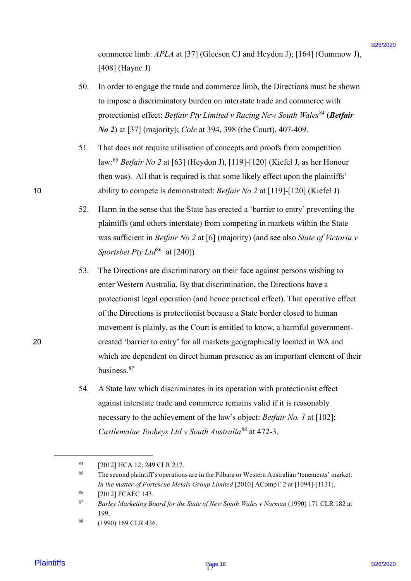commerce limb: *APLA* at [37] (Gleeson CJ and Heydon J); [164] (Gummow J), commerce limb: APLA at [37] (Gleeson CJ and Heydon J); [164] (Gummow J), [408] (Hayne J) [408] (Hayne J)

- 50. In order to engage the trade and commerce limb, the Directions must be shown In order to engage the trade and commerce limb, the Directions must be shown to impose a discriminatory burden on interstate trade and commerce with to impose a discriminatory burden on interstate trade and commerce with protectionist effect: *Betfair Pty Limited v Racing New South Wales*<sup>84</sup> (*Betfair No 2*) at [37] (majority); *Cole* at 394, 398 (the Court), 407-409. No 2) at [37] (majority); Cole at 394, 398 (the Court), 407-409. 50.
- 51. That does not require utilisation of concepts and proofs from competition That does not require utilisation of concepts and proofs from competition law: <sup>85</sup> *Betfair No 2* at [63] (Heydon J), [119]-[120] (Kiefel J, as her Honour law:®° Betfair No 2 at [63] (Heydon J), [119]-[120] (Kiefel J, as her Honour then was). All that is required is that some likely effect upon the plaintiffs' then was). All that is required is that some likely effect upon the plaintiffs' 10 ability to compete is demonstrated: *Betfair No 2* at [119]-[120] (Kiefel J) ability to compete is demonstrated: Betfair No 2 at [119]-[120] (Kiefel J) 51.
	- 52. Harm in the sense that the State has erected a 'barrier to entry' preventing the Harm in the sense that the State has erected a 'barrier to entry' preventing the plaintiffs (and others interstate) from competing in markets within the State plaintiffs (and others interstate) from competing in markets within the State was sufficient in *Betfair No 2* at [6] (majority) (and see also *State of Victoria v*  was sufficient in Betfair No 2 at [6] (majority) (and see also State of Victoria v*Sportsbet Pty Ltd*<sup>86</sup> at [240]) 52.
- 53. The Directions are discriminatory on their face against persons wishing to The Directions are discriminatory on their face against persons wishing to enter Western Australia. By that discrimination, the Directions have a enter Western Australia. By that discrimination, the Directions have <sup>a</sup> protectionist legal operation (and hence practical effect). That operative effect protectionist legal operation (and hence practical effect). That operative effect of the Directions is protectionist because a State border closed to human movement is plainly, as the Court is entitled to know, a harmful government-movement is plainly, as the Court is entitled to know, <sup>a</sup> harmful government-20 created 'barrier to entry' for all markets geographically located in WA and created 'barrier to entry' for all markets geographically located in WA and which are dependent on direct human presence as an important element of their which are dependent on direct human presence as an important element of their business.<sup>87</sup> commetes kinds *APLA* at [27] (Gleason CJ and Heydon J<sub>1</sub> [164] (Grammov J<sub>1</sub><br>
1988) [164] (Grammov Host end of the mass and commetes limb, the Directions must be shown<br>
10 as end r is engine the mask and commetes limb, 53.
	- 54. A State law which discriminates in its operation with protectionist effect A State law which discriminates in its operation with protectionist effect against interstate trade and commerce remains valid if it is reasonably against interstate trade and commerce remains valid ifit is reasonably necessary to the achievement of the law's object: *Betfair No. 1* at [102]; necessary to the achievement of the law's object: Betfair No. I at [102]; *Castlemaine Tooheys Ltd v South Australia*<sup>88</sup> at 472-3. Castlemaine Tooheys Ltd v South Australia®® at 472-3.54.

<sup>84</sup> [2012] HCA 12; 249 CLR 217. [2012] HCA 12; 249 CLR 217.84

 $85$  The second plaintiff's operations are in the Pilbara or Western Australian 'tenements' market: In the matter of Fortescue Metals Group Limited [2010] ACompT 2 at [1094]-[1131]. 85

<sup>86</sup> [2012] FCAFC 143. [2012] FCAFC 143. 86

<sup>&</sup>lt;sup>87</sup> Barley Marketing Board for the State of New South Wales v Norman (1990) 171 CLR 182 at 199. 199. 87

<sup>88</sup> (1990) 169 CLR 436. (1990) 169 CLR 436.88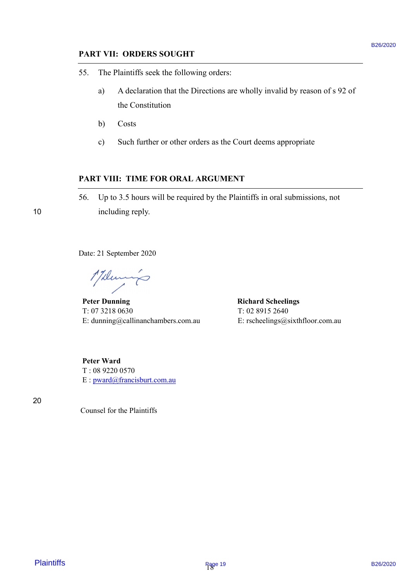## **PART VII: ORDERS SOUGHT** PART VII: ORDERS SOUGHT

- 55. The Plaintiffs seek the following orders: 55. The Plaintiffs seek the following orders:
	- a) A declaration that the Directions are wholly invalid by reason of s 92 of the Constitution the Constitution
	- b) Costs b) Costs
	- c) Such further or other orders as the Court deems appropriate c) | Such further or other orders as the Court deems appropriate

### **PART VIII: TIME FOR ORAL ARGUMENT** PART VHI: TIME FOR ORAL ARGUMENT

56. Up to 3.5 hours will be required by the Plaintiffs in oral submissions, not 56. Up to 3.5 hours will be required by the Plaintiffs in oral submissions, not 10 including reply. 10 including reply. **PART VII: ORDERS SOUGHT**<br> **EXERCT STATE PRIMITIVE seek the following orders:**<br> **a**<br> **b** Adecletions are when the placetions are wholly invalid by reason of a 92 of<br> **b** Corsis the Correlations<br> **c** Such further or other

Date: 21 September 2020 Date: 21 September 2020

17 December

**Peter Dunning Richard Scheelings** Richard Scheelings T: 07 3218 0630 T: 02 8915 2640 T: 02 8915 2640 Peter Dunning T: 07 3218 0630

E: dunning@callinanchambers.com.au E: rscheelings@sixthfloor.com.au E: dunning@callinanchambers.com.au E: rscheelings@sixthfloor.com.au

**Peter Ward** Peter Ward T : 08 9220 0570 T : 08 9220 0570 E : [pward@francisburt.com.au](mailto:pward@francisburt.com.au)

20 20

Counsel for the Plaintiffs Counsel for the Plaintiffs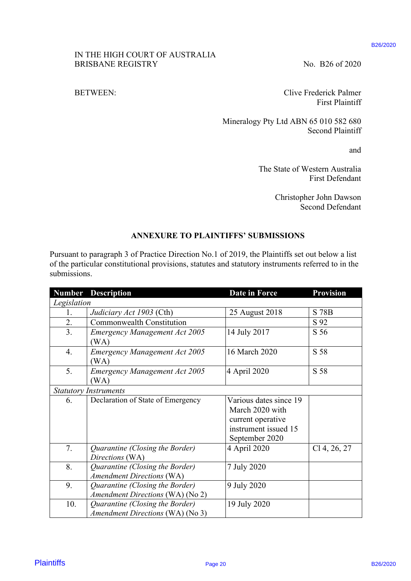#### B26/2020

### IN THE HIGH COURT OF AUSTRALIA IN THE HIGH COURT OF AUSTRALIA BRISBANE REGISTRY No. B26 of 2020

### BETWEEN:

### **ANNEXURE TO PLAINTIFFS' SUBMISSIONS** ANNEXURE TO PLAINTIFFS' SUBMISSIONS

| IN THE HIGH COURT OF AUSTRALIA<br><b>BRISBANE REGISTRY</b> |                                                                                                                                                                                                       |                                                                                        | No. B26 of 2020                                    |  |  |
|------------------------------------------------------------|-------------------------------------------------------------------------------------------------------------------------------------------------------------------------------------------------------|----------------------------------------------------------------------------------------|----------------------------------------------------|--|--|
| <b>BETWEEN:</b>                                            |                                                                                                                                                                                                       | Clive Frederick Palmer<br><b>First Plaintiff</b>                                       |                                                    |  |  |
|                                                            |                                                                                                                                                                                                       | Mineralogy Pty Ltd ABN 65 010 582 680<br><b>Second Plaintiff</b>                       |                                                    |  |  |
|                                                            |                                                                                                                                                                                                       | and                                                                                    |                                                    |  |  |
|                                                            | The State of Western Australia<br><b>First Defendant</b>                                                                                                                                              |                                                                                        |                                                    |  |  |
|                                                            |                                                                                                                                                                                                       |                                                                                        | Christopher John Dawson<br><b>Second Defendant</b> |  |  |
|                                                            |                                                                                                                                                                                                       | <b>ANNEXURE TO PLAINTIFFS' SUBMISSIONS</b>                                             |                                                    |  |  |
|                                                            | Pursuant to paragraph 3 of Practice Direction No.1 of 2019, the Plaintiffs set out below a list<br>of the particular constitutional provisions, statutes and statutory instruments referred to in the |                                                                                        |                                                    |  |  |
|                                                            |                                                                                                                                                                                                       |                                                                                        |                                                    |  |  |
|                                                            | <b>Number Description</b>                                                                                                                                                                             | Date in Force                                                                          | <b>Provision</b>                                   |  |  |
| 1.                                                         |                                                                                                                                                                                                       | 25 August 2018                                                                         | S 78B                                              |  |  |
| 2.                                                         | Judiciary Act 1903 (Cth)<br><b>Commonwealth Constitution</b>                                                                                                                                          |                                                                                        | S 92                                               |  |  |
| submissions.<br>Legislation<br>3.                          | <b>Emergency Management Act 2005</b><br>(WA)                                                                                                                                                          | 14 July 2017                                                                           | S 56                                               |  |  |
| 4.                                                         | <b>Emergency Management Act 2005</b><br>(WA)                                                                                                                                                          | 16 March 2020                                                                          | S 58                                               |  |  |
| 5.                                                         | <b>Emergency Management Act 2005</b><br>(WA)                                                                                                                                                          | 4 April 2020                                                                           | S 58                                               |  |  |
|                                                            | <b>Statutory Instruments</b>                                                                                                                                                                          |                                                                                        |                                                    |  |  |
| 6.                                                         | Declaration of State of Emergency                                                                                                                                                                     | Various dates since 19<br>March 2020 with<br>current operative<br>instrument issued 15 |                                                    |  |  |
| 7.                                                         | Quarantine (Closing the Border)<br>Directions (WA)                                                                                                                                                    | September 2020<br>4 April 2020                                                         | $Cl$ 4, 26, 27                                     |  |  |
| 8.                                                         | Quarantine (Closing the Border)<br><b>Amendment Directions (WA)</b>                                                                                                                                   | 7 July 2020                                                                            |                                                    |  |  |
| 9.                                                         | Quarantine (Closing the Border)<br>Amendment Directions (WA) (No 2)                                                                                                                                   | 9 July 2020                                                                            |                                                    |  |  |